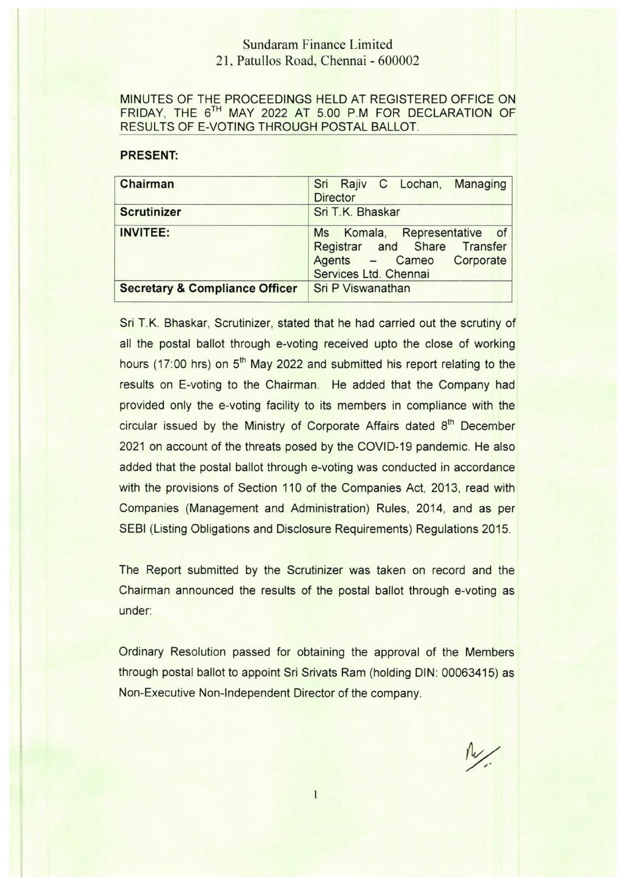## Sundaram Finance Limited 21, Patullos Road, Chennai -600002

## MINUTES OF THE PROCEEDINGS HELD AT REGISTERED OFFICE 0N FRIDAY, THE 6TH MAY 2022 AT 5.00 P.M FOR DECLARATION OF RESULTS OF E-VOTING THROUGH POSTAL BALLOT.

## PRESENT: Chairman Sri Rajiv C Lochan, Managing **Director** Scrutinizer Sri T.K. Bhaskar **INVITEE:** Ms Komala, Representative of Registrar and Share Transfer Agents - Cameo Corporate Services Ltd. Chennai Secretary & Compliance Officer Sri P Viswanathan

Sri T.K. Bhaskar, Scrutinizer, stated that he had carried out the scrutiny of all the postal ballot through e-voting received upto the close of working hours (17:00 hrs) on 5<sup>th</sup> May 2022 and submitted his report relating to the results on E-voting to the Chairman. He added that the Company had provided only the e-voting facility to its members in compliance with the circular issued by the Ministry of Corporate Affairs dated 8<sup>th</sup> December 2021 on account of the threats posed by the COVID-19 pandemic. He also added that the postal ballot through e-voting was conducted in accordance with the provisions of Section 110 of the Companies Act, 2013, read with Companies (Management and Administration) Rules, 2014, and as per SEBl (Listing Obligations and Disclosure Requirements) Regulations 2015.

The Report submitted by the Scrutinizer was taken on record and the Chairman announced the results of the postal ballot through e-voting as under:

Ordinary Resolution passed for obtaining the approval of the Members through postal ballot to appoint Sri Srivats Ram (holding DIN: 00063415) as Non-Executive Non-Independent Director of the company.

 $\frac{1}{2}$